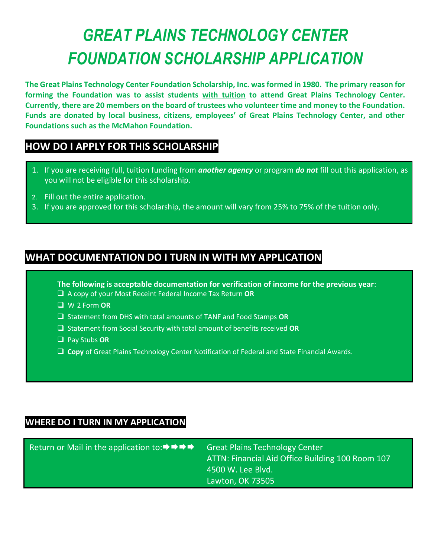# *GREAT PLAINS TECHNOLOGY CENTER FOUNDATION SCHOLARSHIP APPLICATION*

**The Great Plains Technology Center Foundation Scholarship, Inc. was formed in 1980. The primary reason for forming the Foundation was to assist students with tuition to attend Great Plains Technology Center. Currently, there are 20 members on the board of trustees who volunteer time and money to the Foundation. Funds are donated by local business, citizens, employees' of Great Plains Technology Center, and other Foundations such as the McMahon Foundation.** 

# **HOW DO I APPLY FOR THIS SCHOLARSHIP**

- 1. If you are receiving full, tuition funding from *another agency* or program *do not* fill out this application, as you will not be eligible for this scholarship.
- 2. Fill out the entire application.
- 3. If you are approved for this scholarship, the amount will vary from 25% to 75% of the tuition only.

# **WHAT DOCUMENTATION DO I TURN IN WITH MY APPLICATION**

**The following is acceptable documentation for verification of income for the previous year**:

- A copy of your Most Receint Federal Income Tax Return **OR**
- W-2 Form **OR**
- Statement from DHS with total amounts of TANF and Food Stamps **OR**
- Statement from Social Security with total amount of benefits received **OR**
- Pay Stubs **OR**
- **Copy** of Great Plains Technology Center Notification of Federal and State Financial Awards.

## **WHERE DO I TURN IN MY APPLICATION**

| Return or Mail in the application to: $\rightarrow \rightarrow \rightarrow \rightarrow$ | <b>Great Plains Technology Center</b><br>ATTN: Financial Aid Office Building 100 Room 107 |
|-----------------------------------------------------------------------------------------|-------------------------------------------------------------------------------------------|
|                                                                                         | ا 4500 W. Lee Blvd. ا                                                                     |
|                                                                                         | Lawton, OK 73505                                                                          |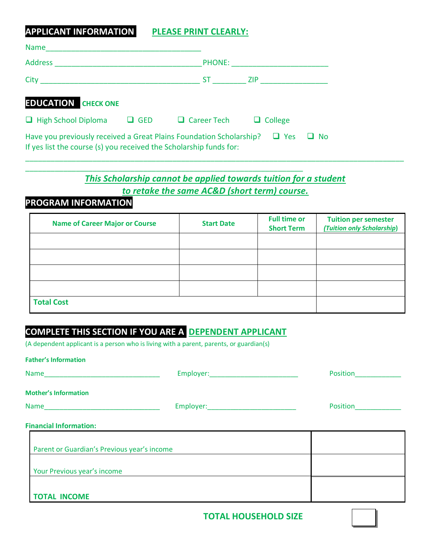**APPLICANT INFORMATION PLEASE PRINT CLEARLY:**

| <b>Name</b>                                                                                                                               |                               |                |           |
|-------------------------------------------------------------------------------------------------------------------------------------------|-------------------------------|----------------|-----------|
| Address                                                                                                                                   | <b>PHONE:</b>                 |                |           |
| City                                                                                                                                      | ST and the set                | <b>ZIP</b>     |           |
| <b>EDUCATION CHECK ONE</b>                                                                                                                |                               |                |           |
| $\Box$ High School Diploma                                                                                                                | $\Box$ GED $\Box$ Career Tech | $\Box$ College |           |
| Have you previously received a Great Plains Foundation Scholarship?<br>If yes list the course (s) you received the Scholarship funds for: |                               | $\Box$ Yes     | $\Box$ No |

*This Scholarship cannot be applied towards tuition for a student to retake the same AC&D (short term) course.*

\_\_\_\_\_\_\_\_\_\_\_\_\_\_\_\_\_\_\_\_\_\_\_\_\_\_\_\_\_\_\_\_\_\_\_\_\_\_\_\_\_\_\_\_\_\_\_\_\_\_\_\_\_\_\_\_\_\_\_\_\_\_\_\_\_\_\_\_\_\_\_\_\_\_\_\_\_\_\_\_\_\_\_\_\_\_\_\_\_\_

## **PROGRAM INFORMATION**

| <b>Name of Career Major or Course</b> | <b>Start Date</b> | <b>Full time or</b><br><b>Short Term</b> | <b>Tuition per semester</b><br>(Tuition only Scholarship) |
|---------------------------------------|-------------------|------------------------------------------|-----------------------------------------------------------|
|                                       |                   |                                          |                                                           |
|                                       |                   |                                          |                                                           |
|                                       |                   |                                          |                                                           |
|                                       |                   |                                          |                                                           |
| <b>Total Cost</b>                     |                   |                                          |                                                           |

## **COMPLETE THIS SECTION IF YOU ARE A DEPENDENT APPLICANT**

\_\_\_\_\_\_\_\_\_\_\_\_\_\_\_\_\_\_\_\_\_\_\_\_\_\_\_\_\_\_\_\_\_\_\_\_\_\_\_\_\_\_\_\_\_\_\_\_\_\_\_\_\_\_\_\_\_\_\_\_\_\_\_\_\_\_

(A dependent applicant is a person who is living with a parent, parents, or guardian(s)

| <b>Father's Information</b>                                                  |                     |          |
|------------------------------------------------------------------------------|---------------------|----------|
| Name                                                                         | Employer: Employer: | Position |
| <b>Mother's Information</b>                                                  |                     |          |
|                                                                              |                     | Position |
| <b>Financial Information:</b><br>Parent or Guardian's Previous year's income |                     |          |
| Your Previous year's income                                                  |                     |          |
| <b>TOTAL INCOME</b>                                                          |                     |          |

**TOTAL HOUSEHOLD SIZE**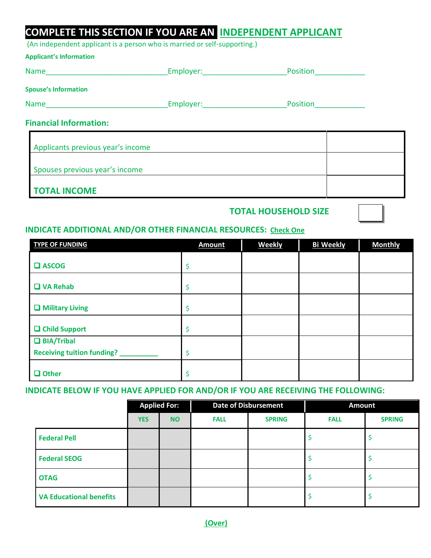# **COMPLETE THIS SECTION IF YOU ARE AN INDEPENDENT APPLICANT**

(An independent applicant is a person who is married or self-supporting.)

| <b>Applicant's Information</b>    |                     |          |  |
|-----------------------------------|---------------------|----------|--|
| <b>Name</b>                       | Employer:           | Position |  |
| <b>Spouse's Information</b>       |                     |          |  |
| <b>Name</b>                       | Employer: Employer: | Position |  |
| <b>Financial Information:</b>     |                     |          |  |
| Applicants previous year's income |                     |          |  |

| $\blacksquare$                 |  |
|--------------------------------|--|
|                                |  |
|                                |  |
| Spouses previous year's income |  |
|                                |  |
|                                |  |
| <b>TOTAL INCOME</b>            |  |
|                                |  |

## **TOTAL HOUSEHOLD SIZE**

#### **INDICATE ADDITIONAL AND/OR OTHER FINANCIAL RESOURCES: Check One**

| <b>TYPE OF FUNDING</b>                                 | <b>Amount</b> | <b>Weekly</b> | <b>Bi Weekly</b> | <b>Monthly</b> |
|--------------------------------------------------------|---------------|---------------|------------------|----------------|
| $\square$ ASCOG                                        |               |               |                  |                |
| $\Box$ VA Rehab                                        | Ş             |               |                  |                |
| $\Box$ Military Living                                 |               |               |                  |                |
| <b>Q</b> Child Support                                 | S             |               |                  |                |
| $\Box$ BIA/Tribal<br><b>Receiving tuition funding?</b> |               |               |                  |                |
| $\Box$ Other                                           |               |               |                  |                |

#### **INDICATE BELOW IF YOU HAVE APPLIED FOR AND/OR IF YOU ARE RECEIVING THE FOLLOWING:**

|                                |            | <b>Applied For:</b> |             | <b>Date of Disbursement</b> | <b>Amount</b> |               |
|--------------------------------|------------|---------------------|-------------|-----------------------------|---------------|---------------|
|                                | <b>YES</b> | <b>NO</b>           | <b>FALL</b> | <b>SPRING</b>               | <b>FALL</b>   | <b>SPRING</b> |
| <b>Federal Pell</b>            |            |                     |             |                             |               |               |
| <b>Federal SEOG</b>            |            |                     |             |                             |               |               |
| <b>OTAG</b>                    |            |                     |             |                             |               |               |
| <b>VA Educational benefits</b> |            |                     |             |                             |               |               |